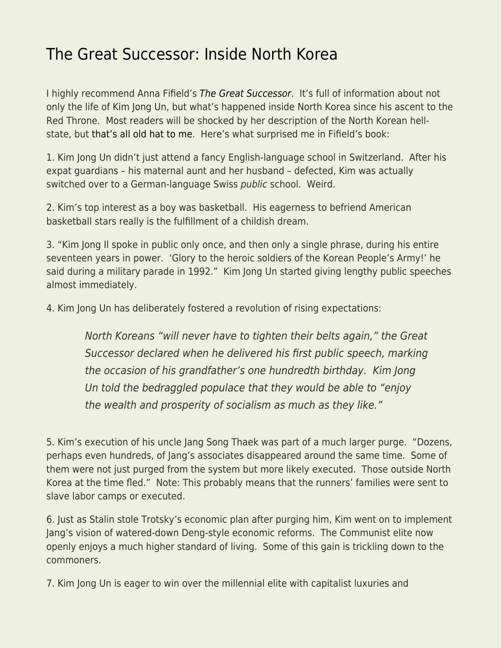## [The Great Successor: Inside North Korea](https://everything-voluntary.com/the-great-successor-inside-north-korea)

I highly recommend Anna Fifield's [The Great Successor](https://www.amazon.com/Great-Successor-Divinely-Perfect-Brilliant/dp/1541742486/ref=sr_1_1?crid=8654FHYBQJQ6&keywords=great+succesor&qid=1568729167&s=books&sprefix=great+succ%2Cstripbooks%2C114&sr=1-1). It's full of information about not only the life of Kim Jong Un, but what's happened inside North Korea since his ascent to the Red Throne. Most readers will be shocked by her description of the North Korean hellstate, but [that's all old hat to me](https://www.econlib.org/archives/2005/12/how_bad_is_life.html). Here's what surprised me in Fifield's book:

1. Kim Jong Un didn't just attend a fancy English-language school in Switzerland. After his expat guardians – his maternal aunt and her husband – defected, Kim was actually switched over to a German-language Swiss public school. Weird.

2. Kim's top interest as a boy was basketball. His eagerness to befriend American basketball stars really is the fulfillment of a childish dream.

3. "Kim Jong Il spoke in public only once, and then only a single phrase, during his entire seventeen years in power. 'Glory to the heroic soldiers of the Korean People's Army!' he said during a military parade in 1992." Kim Jong Un started giving lengthy public speeches almost immediately.

4. Kim Jong Un has deliberately fostered a revolution of rising expectations:

North Koreans "will never have to tighten their belts again," the Great Successor declared when he delivered his first public speech, marking the occasion of his grandfather's one hundredth birthday. Kim Jong Un told the bedraggled populace that they would be able to "enjoy the wealth and prosperity of socialism as much as they like."

5. Kim's execution of his uncle Jang Song Thaek was part of a much larger purge. "Dozens, perhaps even hundreds, of Jang's associates disappeared around the same time. Some of them were not just purged from the system but more likely executed. Those outside North Korea at the time fled." Note: This probably means that the runners' families were sent to slave labor camps or executed.

6. Just as Stalin stole Trotsky's economic plan after purging him, Kim went on to implement Jang's vision of watered-down Deng-style economic reforms. The Communist elite now openly enjoys a much higher standard of living. Some of this gain is trickling down to the commoners.

7. Kim Jong Un is eager to win over the millennial elite with capitalist luxuries and